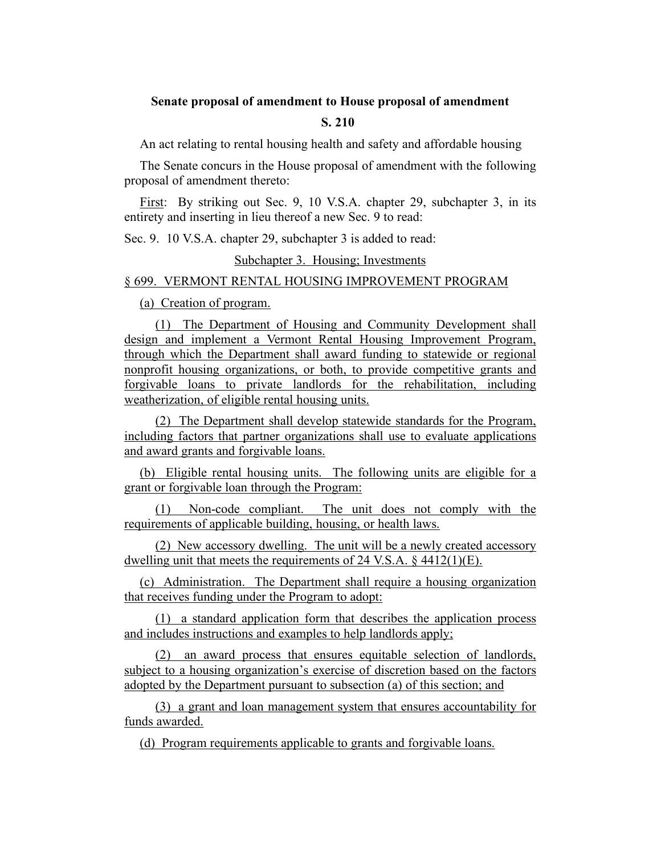## **Senate proposal of amendment to House proposal of amendment**

## **S. 210**

An act relating to rental housing health and safety and affordable housing

The Senate concurs in the House proposal of amendment with the following proposal of amendment thereto:

First: By striking out Sec. 9, 10 V.S.A. chapter 29, subchapter 3, in its entirety and inserting in lieu thereof a new Sec. 9 to read:

Sec. 9. 10 V.S.A. chapter 29, subchapter 3 is added to read:

## Subchapter 3. Housing; Investments

## § 699. VERMONT RENTAL HOUSING IMPROVEMENT PROGRAM

(a) Creation of program.

(1) The Department of Housing and Community Development shall design and implement a Vermont Rental Housing Improvement Program, through which the Department shall award funding to statewide or regional nonprofit housing organizations, or both, to provide competitive grants and forgivable loans to private landlords for the rehabilitation, including weatherization, of eligible rental housing units.

(2) The Department shall develop statewide standards for the Program, including factors that partner organizations shall use to evaluate applications and award grants and forgivable loans.

(b) Eligible rental housing units. The following units are eligible for a grant or forgivable loan through the Program:

(1) Non-code compliant. The unit does not comply with the requirements of applicable building, housing, or health laws.

(2) New accessory dwelling. The unit will be a newly created accessory dwelling unit that meets the requirements of 24 V.S.A. § 4412(1)(E).

(c) Administration. The Department shall require a housing organization that receives funding under the Program to adopt:

(1) a standard application form that describes the application process and includes instructions and examples to help landlords apply;

(2) an award process that ensures equitable selection of landlords, subject to a housing organization's exercise of discretion based on the factors adopted by the Department pursuant to subsection (a) of this section; and

(3) a grant and loan management system that ensures accountability for funds awarded.

(d) Program requirements applicable to grants and forgivable loans.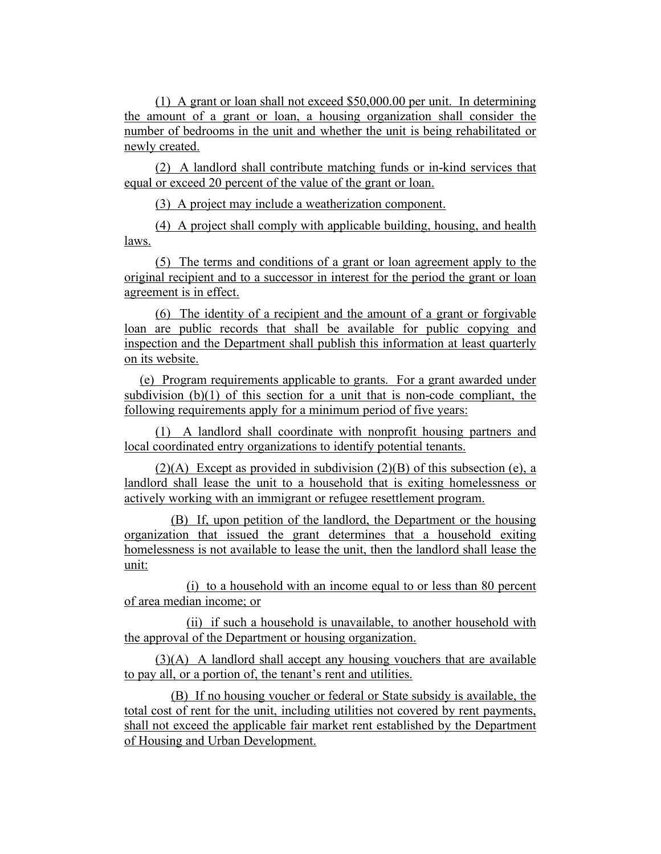(1) A grant or loan shall not exceed \$50,000.00 per unit. In determining the amount of a grant or loan, a housing organization shall consider the number of bedrooms in the unit and whether the unit is being rehabilitated or newly created.

(2) A landlord shall contribute matching funds or in-kind services that equal or exceed 20 percent of the value of the grant or loan.

(3) A project may include a weatherization component.

(4) A project shall comply with applicable building, housing, and health laws.

(5) The terms and conditions of a grant or loan agreement apply to the original recipient and to a successor in interest for the period the grant or loan agreement is in effect.

(6) The identity of a recipient and the amount of a grant or forgivable loan are public records that shall be available for public copying and inspection and the Department shall publish this information at least quarterly on its website.

(e) Program requirements applicable to grants. For a grant awarded under subdivision (b)(1) of this section for a unit that is non-code compliant, the following requirements apply for a minimum period of five years:

(1) A landlord shall coordinate with nonprofit housing partners and local coordinated entry organizations to identify potential tenants.

 $(2)(A)$  Except as provided in subdivision  $(2)(B)$  of this subsection (e), a landlord shall lease the unit to a household that is exiting homelessness or actively working with an immigrant or refugee resettlement program.

(B) If, upon petition of the landlord, the Department or the housing organization that issued the grant determines that a household exiting homelessness is not available to lease the unit, then the landlord shall lease the unit:

(i) to a household with an income equal to or less than 80 percent of area median income; or

(ii) if such a household is unavailable, to another household with the approval of the Department or housing organization.

(3)(A) A landlord shall accept any housing vouchers that are available to pay all, or a portion of, the tenant's rent and utilities.

(B) If no housing voucher or federal or State subsidy is available, the total cost of rent for the unit, including utilities not covered by rent payments, shall not exceed the applicable fair market rent established by the Department of Housing and Urban Development.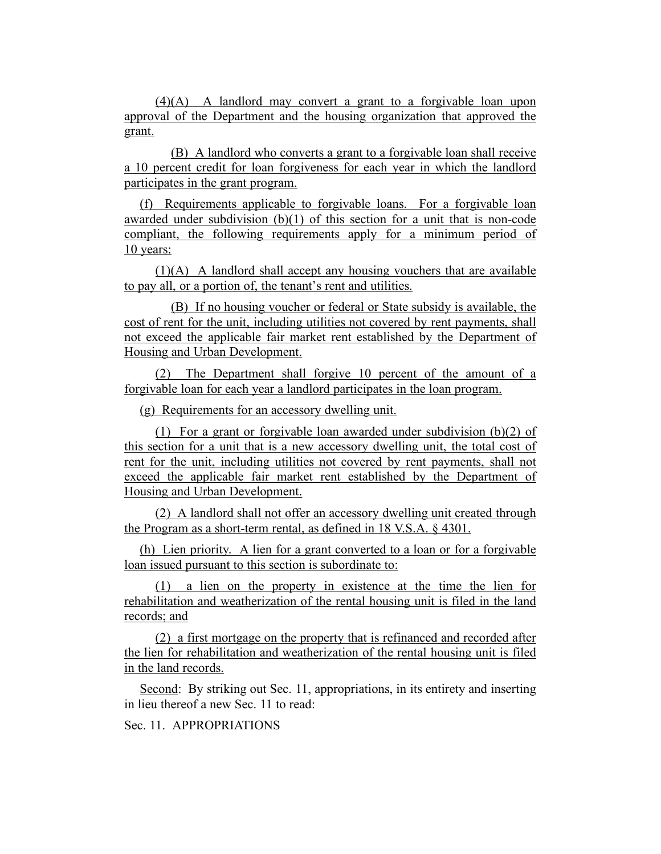(4)(A) A landlord may convert a grant to a forgivable loan upon approval of the Department and the housing organization that approved the grant.

(B) A landlord who converts a grant to a forgivable loan shall receive a 10 percent credit for loan forgiveness for each year in which the landlord participates in the grant program.

(f) Requirements applicable to forgivable loans. For a forgivable loan awarded under subdivision  $(b)(1)$  of this section for a unit that is non-code compliant, the following requirements apply for a minimum period of 10 years:

(1)(A) A landlord shall accept any housing vouchers that are available to pay all, or a portion of, the tenant's rent and utilities.

(B) If no housing voucher or federal or State subsidy is available, the cost of rent for the unit, including utilities not covered by rent payments, shall not exceed the applicable fair market rent established by the Department of Housing and Urban Development.

(2) The Department shall forgive 10 percent of the amount of a forgivable loan for each year a landlord participates in the loan program.

(g) Requirements for an accessory dwelling unit.

(1) For a grant or forgivable loan awarded under subdivision (b)(2) of this section for a unit that is a new accessory dwelling unit, the total cost of rent for the unit, including utilities not covered by rent payments, shall not exceed the applicable fair market rent established by the Department of Housing and Urban Development.

(2) A landlord shall not offer an accessory dwelling unit created through the Program as a short-term rental, as defined in 18 V.S.A. § 4301.

(h) Lien priority. A lien for a grant converted to a loan or for a forgivable loan issued pursuant to this section is subordinate to:

(1) a lien on the property in existence at the time the lien for rehabilitation and weatherization of the rental housing unit is filed in the land records; and

(2) a first mortgage on the property that is refinanced and recorded after the lien for rehabilitation and weatherization of the rental housing unit is filed in the land records.

Second: By striking out Sec. 11, appropriations, in its entirety and inserting in lieu thereof a new Sec. 11 to read:

Sec. 11. APPROPRIATIONS